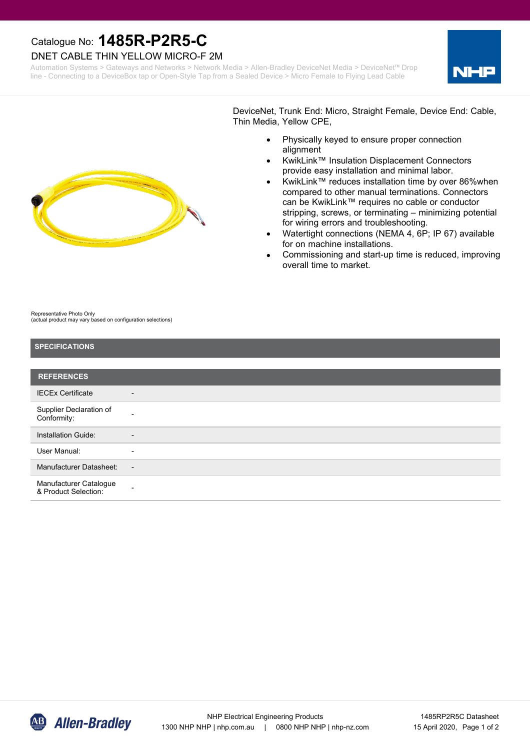# Catalogue No: **1485R-P2R5-C**

#### DNET CABLE THIN YELLOW MICRO-F 2M

Automation Systems > Gateways and Networks > Network Media > Allen-Bradley DeviceNet Media > DeviceNet™ Drop line - Connecting to a DeviceBox tap or Open-Style Tap from a Sealed Device > Micro Female to Flying Lead Cable



DeviceNet, Trunk End: Micro, Straight Female, Device End: Cable, Thin Media, Yellow CPE,

- · Physically keyed to ensure proper connection alignment
- · KwikLink™ Insulation Displacement Connectors provide easy installation and minimal labor.
- KwikLink™ reduces installation time by over 86%when compared to other manual terminations. Connectors can be KwikLink™ requires no cable or conductor stripping, screws, or terminating – minimizing potential for wiring errors and troubleshooting.
- Watertight connections (NEMA 4, 6P; IP 67) available for on machine installations.
- Commissioning and start-up time is reduced, improving overall time to market.

Representative Photo Only (actual product may vary based on configuration selections)

## **SPECIFICATIONS REFERENCES** Installation Guide: 4 User Manual: The Manual: The Solid State State State State State State State State State State State State State State State State State State State State State State State State State State State State State State State S Manufacturer Datasheet: -Manufacturer Catalogue & Product Selection: Supplier Declaration of Conformity: IECEx Certificate -